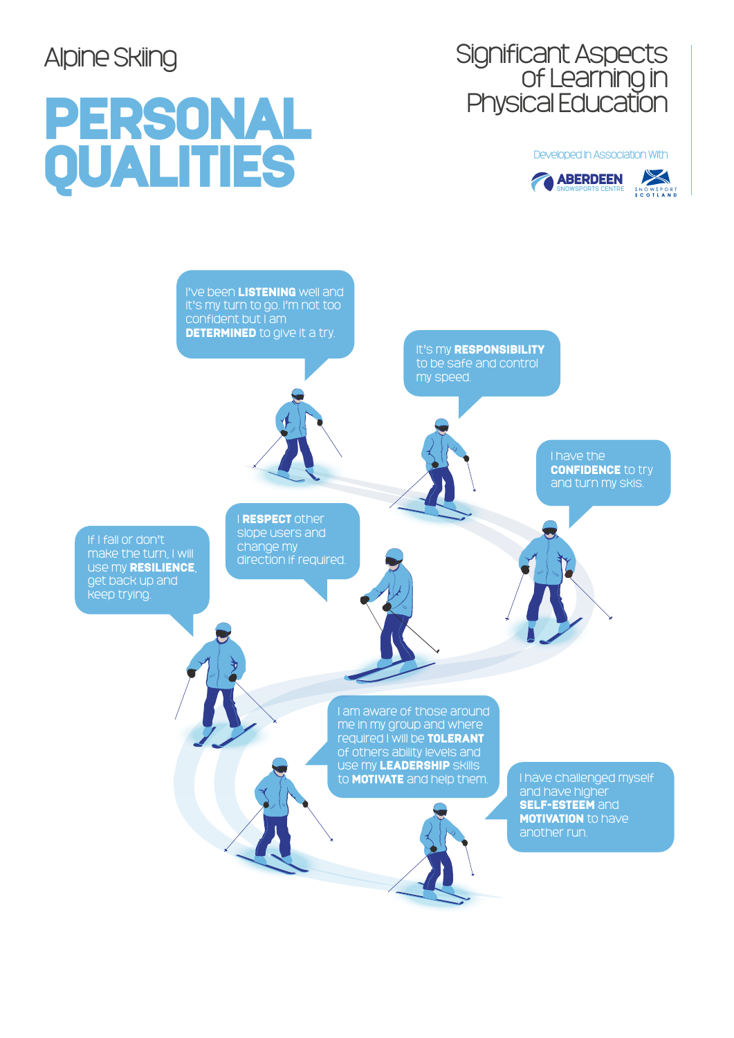# Significant Aspects of Learning in Physical Education

### PERSONAL Developed In Association With<br> **Q** ABERDEEN<br> **Q** ABERDEEN<br> **Q** ABERDEEN<br> **Q** ABERDEEN





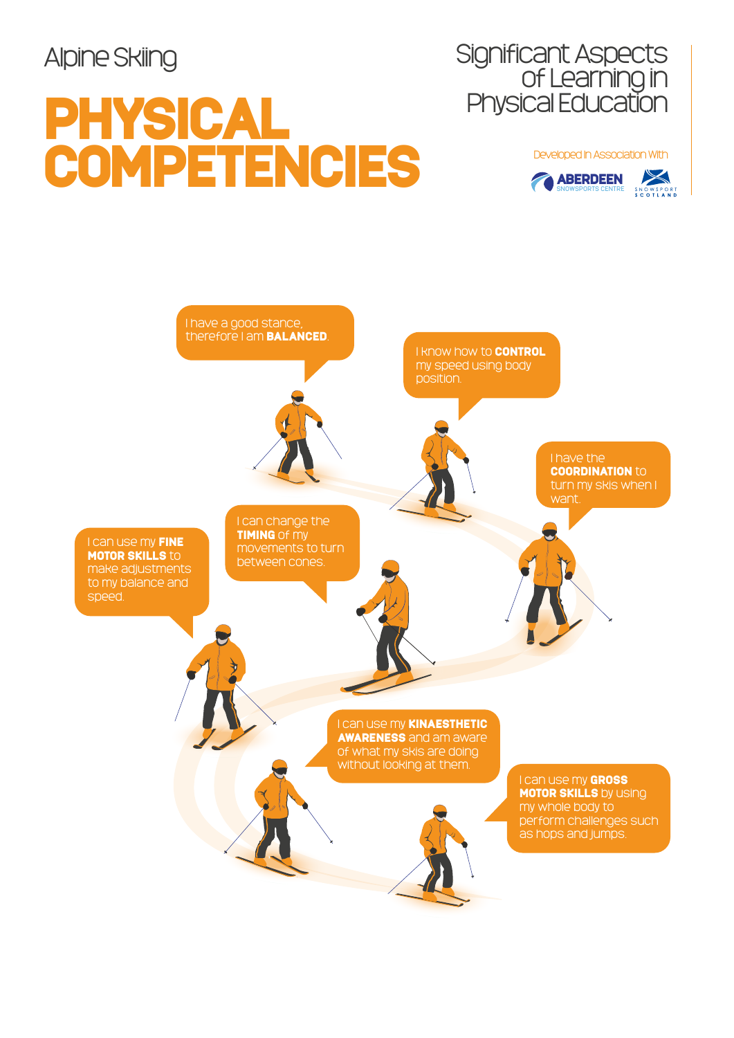## PHYSICAL COMPETENCIES Developed In Association With

Significant Aspects of Learning in Physical Education



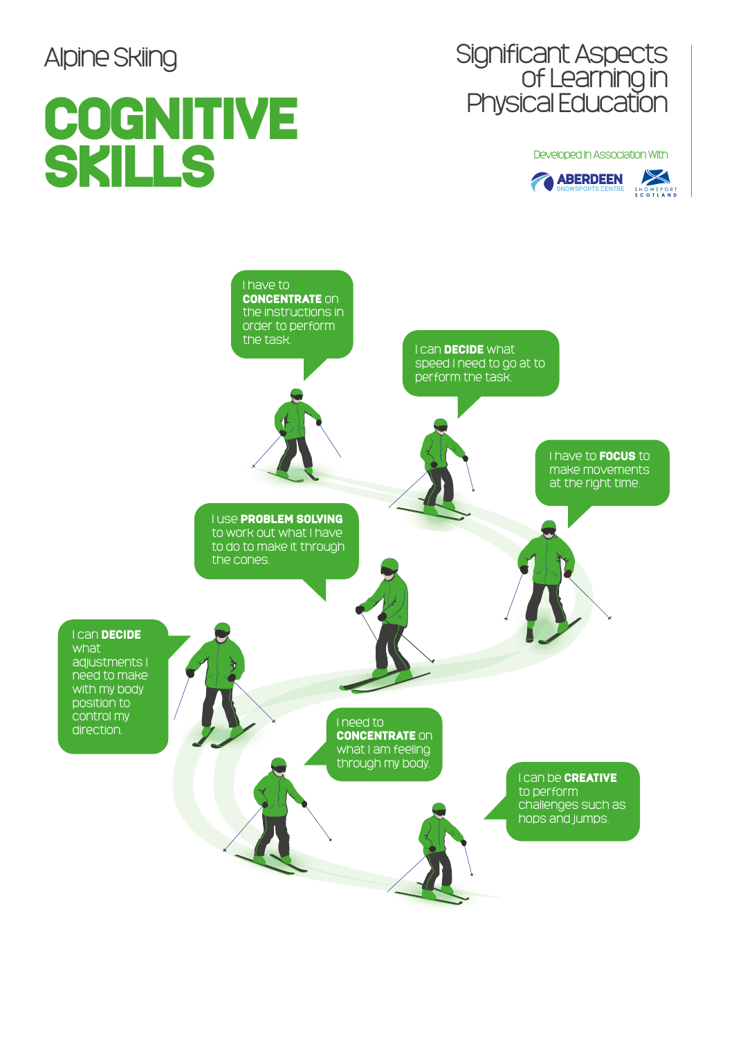## **COGNITIVE** SKILLS Developed In Association With<br>
CABERDEEN

# Significant Aspects of Learning in Physical Education